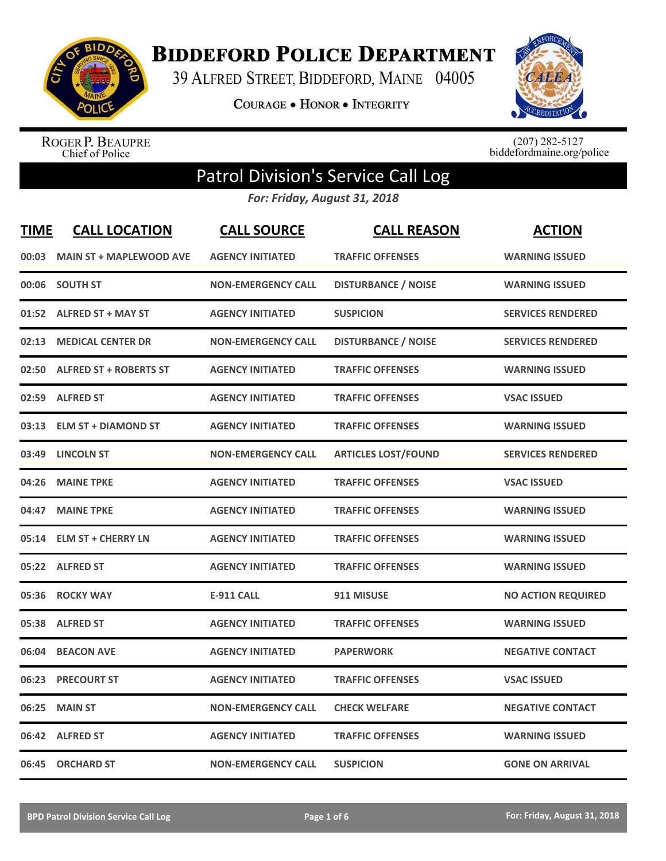

**BIDDEFORD POLICE DEPARTMENT** 

39 ALFRED STREET, BIDDEFORD, MAINE 04005

**COURAGE . HONOR . INTEGRITY** 



ROGER P. BEAUPRE<br>Chief of Police

 $(207)$  282-5127<br>biddefordmaine.org/police

## Patrol Division's Service Call Log

*For: Friday, August 31, 2018*

| <b>TIME</b> | <b>CALL LOCATION</b>           | <b>CALL SOURCE</b>        | <b>CALL REASON</b>         | <b>ACTION</b>             |
|-------------|--------------------------------|---------------------------|----------------------------|---------------------------|
| 00:03       | <b>MAIN ST + MAPLEWOOD AVE</b> | <b>AGENCY INITIATED</b>   | <b>TRAFFIC OFFENSES</b>    | <b>WARNING ISSUED</b>     |
|             | 00:06 SOUTH ST                 | <b>NON-EMERGENCY CALL</b> | <b>DISTURBANCE / NOISE</b> | <b>WARNING ISSUED</b>     |
|             | 01:52 ALFRED ST + MAY ST       | <b>AGENCY INITIATED</b>   | <b>SUSPICION</b>           | <b>SERVICES RENDERED</b>  |
| 02:13       | <b>MEDICAL CENTER DR</b>       | <b>NON-EMERGENCY CALL</b> | <b>DISTURBANCE / NOISE</b> | <b>SERVICES RENDERED</b>  |
|             | 02:50 ALFRED ST + ROBERTS ST   | <b>AGENCY INITIATED</b>   | <b>TRAFFIC OFFENSES</b>    | <b>WARNING ISSUED</b>     |
|             | 02:59 ALFRED ST                | <b>AGENCY INITIATED</b>   | <b>TRAFFIC OFFENSES</b>    | <b>VSAC ISSUED</b>        |
|             | 03:13 ELM ST + DIAMOND ST      | <b>AGENCY INITIATED</b>   | <b>TRAFFIC OFFENSES</b>    | <b>WARNING ISSUED</b>     |
|             | 03:49 LINCOLN ST               | <b>NON-EMERGENCY CALL</b> | <b>ARTICLES LOST/FOUND</b> | <b>SERVICES RENDERED</b>  |
| 04:26       | <b>MAINE TPKE</b>              | <b>AGENCY INITIATED</b>   | <b>TRAFFIC OFFENSES</b>    | <b>VSAC ISSUED</b>        |
| 04:47       | <b>MAINE TPKE</b>              | <b>AGENCY INITIATED</b>   | <b>TRAFFIC OFFENSES</b>    | <b>WARNING ISSUED</b>     |
|             | 05:14 ELM ST + CHERRY LN       | <b>AGENCY INITIATED</b>   | <b>TRAFFIC OFFENSES</b>    | <b>WARNING ISSUED</b>     |
|             | 05:22 ALFRED ST                | <b>AGENCY INITIATED</b>   | <b>TRAFFIC OFFENSES</b>    | <b>WARNING ISSUED</b>     |
|             | 05:36 ROCKY WAY                | <b>E-911 CALL</b>         | 911 MISUSE                 | <b>NO ACTION REQUIRED</b> |
|             | 05:38 ALFRED ST                | <b>AGENCY INITIATED</b>   | <b>TRAFFIC OFFENSES</b>    | <b>WARNING ISSUED</b>     |
| 06:04       | <b>BEACON AVE</b>              | <b>AGENCY INITIATED</b>   | <b>PAPERWORK</b>           | <b>NEGATIVE CONTACT</b>   |
| 06:23       | <b>PRECOURT ST</b>             | <b>AGENCY INITIATED</b>   | <b>TRAFFIC OFFENSES</b>    | <b>VSAC ISSUED</b>        |
| 06:25       | <b>MAIN ST</b>                 | <b>NON-EMERGENCY CALL</b> | <b>CHECK WELFARE</b>       | <b>NEGATIVE CONTACT</b>   |
|             | 06:42 ALFRED ST                | <b>AGENCY INITIATED</b>   | <b>TRAFFIC OFFENSES</b>    | <b>WARNING ISSUED</b>     |
|             | 06:45 ORCHARD ST               | <b>NON-EMERGENCY CALL</b> | <b>SUSPICION</b>           | <b>GONE ON ARRIVAL</b>    |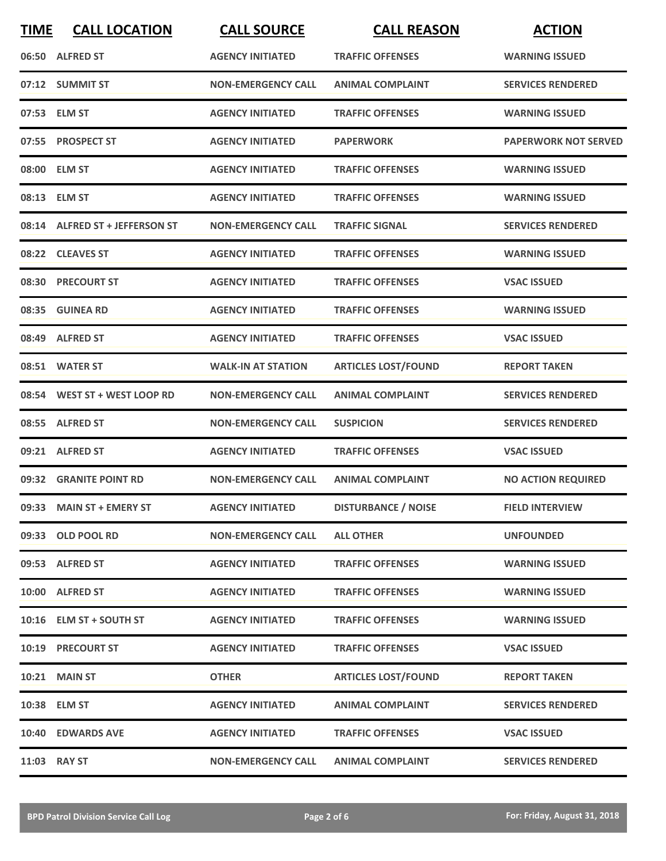| <b>TIME</b> | <b>CALL LOCATION</b>           | <b>CALL SOURCE</b>        | <b>CALL REASON</b>         | <b>ACTION</b>               |
|-------------|--------------------------------|---------------------------|----------------------------|-----------------------------|
|             | 06:50 ALFRED ST                | <b>AGENCY INITIATED</b>   | <b>TRAFFIC OFFENSES</b>    | <b>WARNING ISSUED</b>       |
|             | 07:12 SUMMIT ST                | <b>NON-EMERGENCY CALL</b> | <b>ANIMAL COMPLAINT</b>    | <b>SERVICES RENDERED</b>    |
|             | 07:53 ELM ST                   | <b>AGENCY INITIATED</b>   | <b>TRAFFIC OFFENSES</b>    | <b>WARNING ISSUED</b>       |
|             | 07:55 PROSPECT ST              | <b>AGENCY INITIATED</b>   | <b>PAPERWORK</b>           | <b>PAPERWORK NOT SERVED</b> |
|             | 08:00 ELM ST                   | <b>AGENCY INITIATED</b>   | <b>TRAFFIC OFFENSES</b>    | <b>WARNING ISSUED</b>       |
|             | 08:13 ELM ST                   | <b>AGENCY INITIATED</b>   | <b>TRAFFIC OFFENSES</b>    | <b>WARNING ISSUED</b>       |
|             | 08:14 ALFRED ST + JEFFERSON ST | <b>NON-EMERGENCY CALL</b> | <b>TRAFFIC SIGNAL</b>      | <b>SERVICES RENDERED</b>    |
|             | 08:22 CLEAVES ST               | <b>AGENCY INITIATED</b>   | <b>TRAFFIC OFFENSES</b>    | <b>WARNING ISSUED</b>       |
|             | 08:30 PRECOURT ST              | <b>AGENCY INITIATED</b>   | <b>TRAFFIC OFFENSES</b>    | <b>VSAC ISSUED</b>          |
|             | 08:35 GUINEA RD                | <b>AGENCY INITIATED</b>   | <b>TRAFFIC OFFENSES</b>    | <b>WARNING ISSUED</b>       |
|             | 08:49 ALFRED ST                | <b>AGENCY INITIATED</b>   | <b>TRAFFIC OFFENSES</b>    | <b>VSAC ISSUED</b>          |
|             | 08:51 WATER ST                 | <b>WALK-IN AT STATION</b> | <b>ARTICLES LOST/FOUND</b> | <b>REPORT TAKEN</b>         |
|             | 08:54 WEST ST + WEST LOOP RD   | <b>NON-EMERGENCY CALL</b> | <b>ANIMAL COMPLAINT</b>    | <b>SERVICES RENDERED</b>    |
| 08:55       | <b>ALFRED ST</b>               | <b>NON-EMERGENCY CALL</b> | <b>SUSPICION</b>           | <b>SERVICES RENDERED</b>    |
| 09:21       | <b>ALFRED ST</b>               | <b>AGENCY INITIATED</b>   | <b>TRAFFIC OFFENSES</b>    | <b>VSAC ISSUED</b>          |
|             | 09:32 GRANITE POINT RD         | <b>NON-EMERGENCY CALL</b> | <b>ANIMAL COMPLAINT</b>    | <b>NO ACTION REQUIRED</b>   |
|             | 09:33 MAIN ST + EMERY ST       | <b>AGENCY INITIATED</b>   | <b>DISTURBANCE / NOISE</b> | <b>FIELD INTERVIEW</b>      |
|             | 09:33 OLD POOL RD              | <b>NON-EMERGENCY CALL</b> | <b>ALL OTHER</b>           | <b>UNFOUNDED</b>            |
|             | 09:53 ALFRED ST                | <b>AGENCY INITIATED</b>   | <b>TRAFFIC OFFENSES</b>    | <b>WARNING ISSUED</b>       |
|             | 10:00 ALFRED ST                | <b>AGENCY INITIATED</b>   | <b>TRAFFIC OFFENSES</b>    | <b>WARNING ISSUED</b>       |
|             | 10:16 ELM ST + SOUTH ST        | <b>AGENCY INITIATED</b>   | <b>TRAFFIC OFFENSES</b>    | <b>WARNING ISSUED</b>       |
|             | <b>10:19 PRECOURT ST</b>       | <b>AGENCY INITIATED</b>   | <b>TRAFFIC OFFENSES</b>    | <b>VSAC ISSUED</b>          |
|             | <b>10:21 MAIN ST</b>           | <b>OTHER</b>              | <b>ARTICLES LOST/FOUND</b> | <b>REPORT TAKEN</b>         |
|             | 10:38 ELM ST                   | <b>AGENCY INITIATED</b>   | <b>ANIMAL COMPLAINT</b>    | <b>SERVICES RENDERED</b>    |
|             | 10:40 EDWARDS AVE              | <b>AGENCY INITIATED</b>   | <b>TRAFFIC OFFENSES</b>    | <b>VSAC ISSUED</b>          |
|             | 11:03 RAY ST                   | <b>NON-EMERGENCY CALL</b> | <b>ANIMAL COMPLAINT</b>    | <b>SERVICES RENDERED</b>    |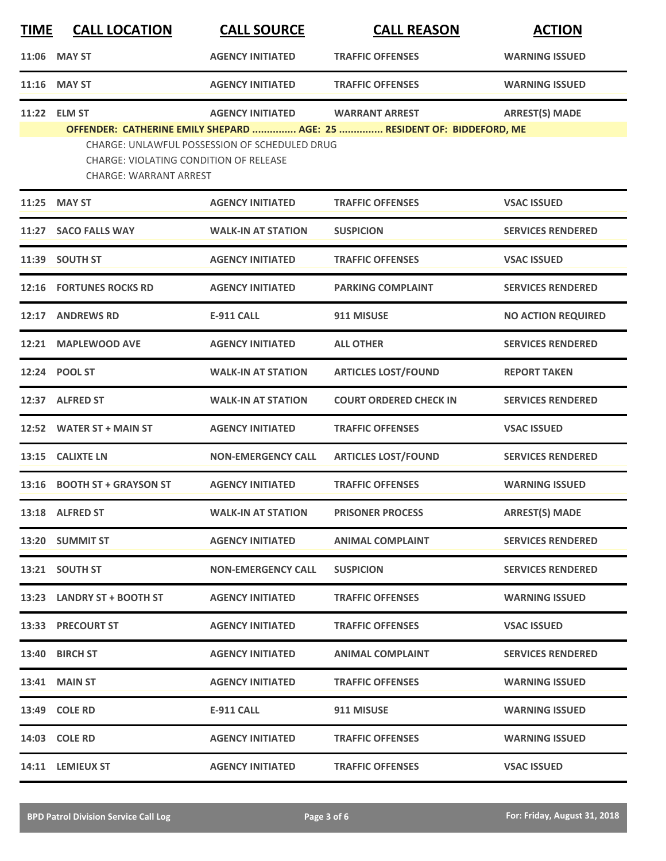| <u>TIME</u> | <b>CALL LOCATION</b>                                                           | <b>CALL SOURCE</b>                            | <b>CALL REASON</b>                                                     | <b>ACTION</b>             |
|-------------|--------------------------------------------------------------------------------|-----------------------------------------------|------------------------------------------------------------------------|---------------------------|
|             | 11:06 MAY ST                                                                   | <b>AGENCY INITIATED</b>                       | <b>TRAFFIC OFFENSES</b>                                                | <b>WARNING ISSUED</b>     |
|             | 11:16 MAY ST                                                                   | <b>AGENCY INITIATED</b>                       | <b>TRAFFIC OFFENSES</b>                                                | <b>WARNING ISSUED</b>     |
|             | 11:22 ELM ST                                                                   | <b>AGENCY INITIATED</b>                       | <b>WARRANT ARREST</b>                                                  | <b>ARREST(S) MADE</b>     |
|             | <b>CHARGE: VIOLATING CONDITION OF RELEASE</b><br><b>CHARGE: WARRANT ARREST</b> | CHARGE: UNLAWFUL POSSESSION OF SCHEDULED DRUG | OFFENDER: CATHERINE EMILY SHEPARD  AGE: 25  RESIDENT OF: BIDDEFORD, ME |                           |
|             | 11:25 MAY ST                                                                   | <b>AGENCY INITIATED</b>                       | <b>TRAFFIC OFFENSES</b>                                                | <b>VSAC ISSUED</b>        |
|             | 11:27 SACO FALLS WAY                                                           | <b>WALK-IN AT STATION</b>                     | <b>SUSPICION</b>                                                       | <b>SERVICES RENDERED</b>  |
| 11:39       | <b>SOUTH ST</b>                                                                | <b>AGENCY INITIATED</b>                       | <b>TRAFFIC OFFENSES</b>                                                | <b>VSAC ISSUED</b>        |
|             | 12:16 FORTUNES ROCKS RD                                                        | <b>AGENCY INITIATED</b>                       | <b>PARKING COMPLAINT</b>                                               | <b>SERVICES RENDERED</b>  |
|             | 12:17 ANDREWS RD                                                               | <b>E-911 CALL</b>                             | 911 MISUSE                                                             | <b>NO ACTION REQUIRED</b> |
|             | 12:21 MAPLEWOOD AVE                                                            | <b>AGENCY INITIATED</b>                       | <b>ALL OTHER</b>                                                       | <b>SERVICES RENDERED</b>  |
|             | 12:24 POOL ST                                                                  | <b>WALK-IN AT STATION</b>                     | <b>ARTICLES LOST/FOUND</b>                                             | <b>REPORT TAKEN</b>       |
|             | 12:37 ALFRED ST                                                                | <b>WALK-IN AT STATION</b>                     | <b>COURT ORDERED CHECK IN</b>                                          | <b>SERVICES RENDERED</b>  |
|             | 12:52 WATER ST + MAIN ST                                                       | <b>AGENCY INITIATED</b>                       | <b>TRAFFIC OFFENSES</b>                                                | <b>VSAC ISSUED</b>        |
| 13:15       | <b>CALIXTE LN</b>                                                              | <b>NON-EMERGENCY CALL</b>                     | <b>ARTICLES LOST/FOUND</b>                                             | <b>SERVICES RENDERED</b>  |
|             | 13:16 BOOTH ST + GRAYSON ST                                                    | <b>AGENCY INITIATED</b>                       | <b>TRAFFIC OFFENSES</b>                                                | <b>WARNING ISSUED</b>     |
|             | 13:18 ALFRED ST                                                                | <b>WALK-IN AT STATION</b>                     | <b>PRISONER PROCESS</b>                                                | <b>ARREST(S) MADE</b>     |
|             | 13:20 SUMMIT ST                                                                | <b>AGENCY INITIATED</b>                       | <b>ANIMAL COMPLAINT</b>                                                | <b>SERVICES RENDERED</b>  |
|             | 13:21 SOUTH ST                                                                 | <b>NON-EMERGENCY CALL</b>                     | <b>SUSPICION</b>                                                       | <b>SERVICES RENDERED</b>  |
|             | 13:23 LANDRY ST + BOOTH ST                                                     | <b>AGENCY INITIATED</b>                       | <b>TRAFFIC OFFENSES</b>                                                | <b>WARNING ISSUED</b>     |
|             | 13:33 PRECOURT ST                                                              | <b>AGENCY INITIATED</b>                       | <b>TRAFFIC OFFENSES</b>                                                | <b>VSAC ISSUED</b>        |
|             | 13:40 BIRCH ST                                                                 | <b>AGENCY INITIATED</b>                       | <b>ANIMAL COMPLAINT</b>                                                | <b>SERVICES RENDERED</b>  |
|             | <b>13:41 MAIN ST</b>                                                           | <b>AGENCY INITIATED</b>                       | <b>TRAFFIC OFFENSES</b>                                                | <b>WARNING ISSUED</b>     |
|             | 13:49 COLE RD                                                                  | <b>E-911 CALL</b>                             | 911 MISUSE                                                             | <b>WARNING ISSUED</b>     |
|             | <b>14:03 COLE RD</b>                                                           | <b>AGENCY INITIATED</b>                       | <b>TRAFFIC OFFENSES</b>                                                | <b>WARNING ISSUED</b>     |
|             | 14:11 LEMIEUX ST                                                               | <b>AGENCY INITIATED</b>                       | <b>TRAFFIC OFFENSES</b>                                                | <b>VSAC ISSUED</b>        |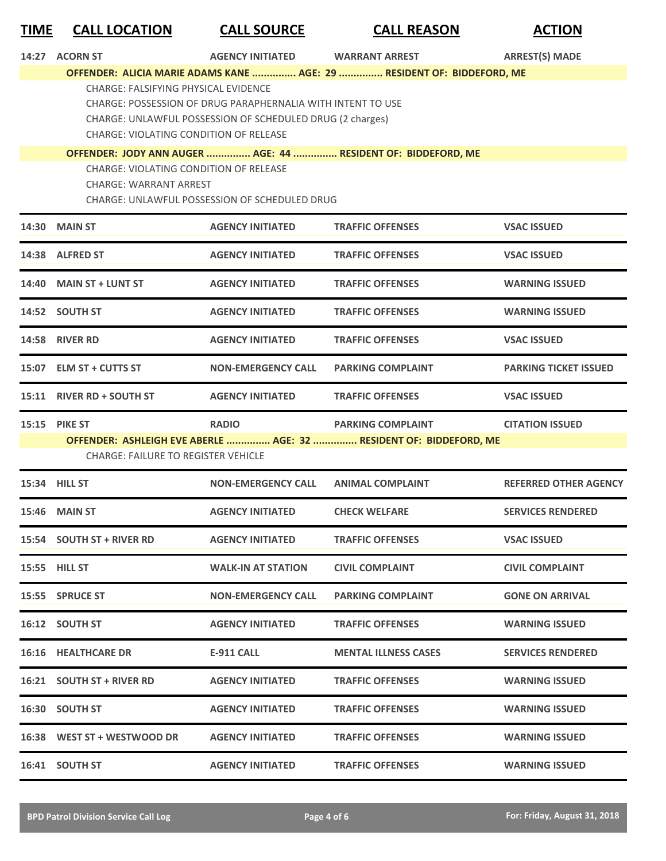## **TIME CALL LOCATION CALL SOURCE CALL REASON ACTION**

| 14:27 ACORN ST                                                                               | <b>AGENCY INITIATED</b>                                                                                                  | <b>WARRANT ARREST</b>                                                  | <b>ARREST(S) MADE</b>        |
|----------------------------------------------------------------------------------------------|--------------------------------------------------------------------------------------------------------------------------|------------------------------------------------------------------------|------------------------------|
|                                                                                              |                                                                                                                          | OFFENDER: ALICIA MARIE ADAMS KANE  AGE: 29  RESIDENT OF: BIDDEFORD, ME |                              |
| <b>CHARGE: FALSIFYING PHYSICAL EVIDENCE</b><br><b>CHARGE: VIOLATING CONDITION OF RELEASE</b> | CHARGE: POSSESSION OF DRUG PARAPHERNALIA WITH INTENT TO USE<br>CHARGE: UNLAWFUL POSSESSION OF SCHEDULED DRUG (2 charges) |                                                                        |                              |
|                                                                                              |                                                                                                                          | OFFENDER: JODY ANN AUGER  AGE: 44  RESIDENT OF: BIDDEFORD, ME          |                              |
| CHARGE: VIOLATING CONDITION OF RELEASE<br>CHARGE: WARRANT ARREST                             | CHARGE: UNLAWFUL POSSESSION OF SCHEDULED DRUG                                                                            |                                                                        |                              |
| <b>14:30 MAIN ST</b>                                                                         | <b>AGENCY INITIATED</b>                                                                                                  | <b>TRAFFIC OFFENSES</b>                                                | <b>VSAC ISSUED</b>           |
| 14:38 ALFRED ST                                                                              | <b>AGENCY INITIATED</b>                                                                                                  | <b>TRAFFIC OFFENSES</b>                                                | <b>VSAC ISSUED</b>           |
| 14:40 MAIN ST + LUNT ST                                                                      | <b>AGENCY INITIATED</b>                                                                                                  | <b>TRAFFIC OFFENSES</b>                                                | <b>WARNING ISSUED</b>        |
| 14:52 SOUTH ST                                                                               | <b>AGENCY INITIATED</b>                                                                                                  | <b>TRAFFIC OFFENSES</b>                                                | <b>WARNING ISSUED</b>        |
| <b>14:58 RIVER RD</b>                                                                        | <b>AGENCY INITIATED</b>                                                                                                  | <b>TRAFFIC OFFENSES</b>                                                | <b>VSAC ISSUED</b>           |
| 15:07 ELM ST + CUTTS ST                                                                      | <b>NON-EMERGENCY CALL</b>                                                                                                | <b>PARKING COMPLAINT</b>                                               | <b>PARKING TICKET ISSUED</b> |
| 15:11 RIVER RD + SOUTH ST                                                                    | <b>AGENCY INITIATED</b>                                                                                                  | <b>TRAFFIC OFFENSES</b>                                                | <b>VSAC ISSUED</b>           |
|                                                                                              |                                                                                                                          |                                                                        |                              |
| <b>15:15 PIKE ST</b>                                                                         | <b>RADIO</b>                                                                                                             | <b>PARKING COMPLAINT</b>                                               | <b>CITATION ISSUED</b>       |
|                                                                                              |                                                                                                                          | OFFENDER: ASHLEIGH EVE ABERLE  AGE: 32  RESIDENT OF: BIDDEFORD, ME     |                              |
| <b>CHARGE: FAILURE TO REGISTER VEHICLE</b>                                                   |                                                                                                                          |                                                                        |                              |
| 15:34 HILL ST                                                                                | <b>NON-EMERGENCY CALL</b>                                                                                                | <b>ANIMAL COMPLAINT</b>                                                | <b>REFERRED OTHER AGENCY</b> |
| <b>15:46 MAIN ST</b>                                                                         | <b>AGENCY INITIATED</b>                                                                                                  | <b>CHECK WELFARE</b>                                                   | <b>SERVICES RENDERED</b>     |
| 15:54 SOUTH ST + RIVER RD                                                                    | <b>AGENCY INITIATED</b>                                                                                                  | <b>TRAFFIC OFFENSES</b>                                                | <b>VSAC ISSUED</b>           |
| <b>15:55 HILL ST</b>                                                                         | <b>WALK-IN AT STATION</b>                                                                                                | <b>CIVIL COMPLAINT</b>                                                 | <b>CIVIL COMPLAINT</b>       |
| 15:55 SPRUCE ST                                                                              | <b>NON-EMERGENCY CALL</b>                                                                                                | <b>PARKING COMPLAINT</b>                                               | <b>GONE ON ARRIVAL</b>       |
| 16:12 SOUTH ST                                                                               | <b>AGENCY INITIATED</b>                                                                                                  | <b>TRAFFIC OFFENSES</b>                                                | <b>WARNING ISSUED</b>        |
| <b>16:16 HEALTHCARE DR</b>                                                                   | <b>E-911 CALL</b>                                                                                                        | <b>MENTAL ILLNESS CASES</b>                                            | <b>SERVICES RENDERED</b>     |
| 16:21 SOUTH ST + RIVER RD                                                                    | <b>AGENCY INITIATED</b>                                                                                                  | <b>TRAFFIC OFFENSES</b>                                                | <b>WARNING ISSUED</b>        |
| 16:30 SOUTH ST                                                                               | <b>AGENCY INITIATED</b>                                                                                                  | <b>TRAFFIC OFFENSES</b>                                                | <b>WARNING ISSUED</b>        |
| 16:38 WEST ST + WESTWOOD DR                                                                  | <b>AGENCY INITIATED</b>                                                                                                  | <b>TRAFFIC OFFENSES</b>                                                | <b>WARNING ISSUED</b>        |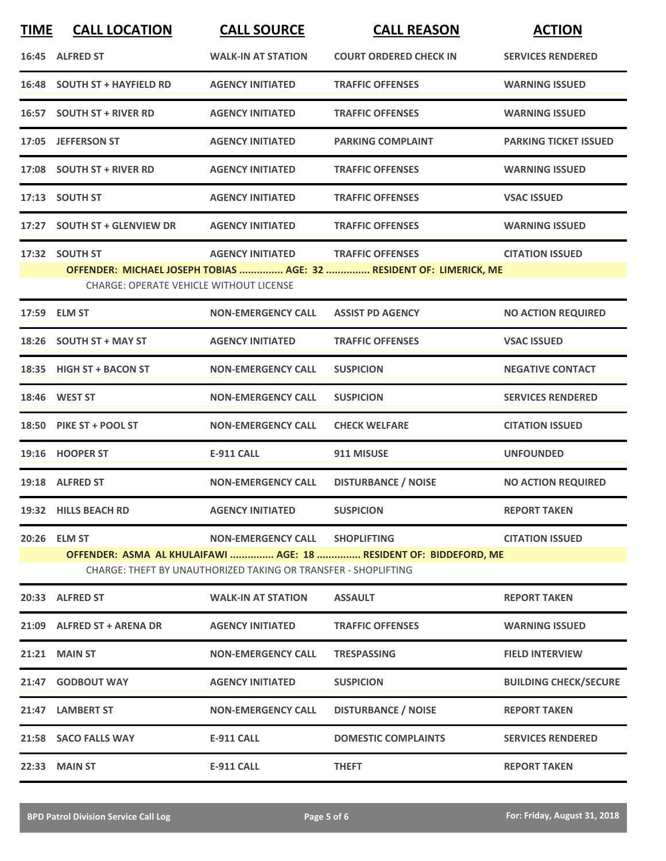| <b>TIME</b> | <b>CALL LOCATION</b>                    | <b>CALL SOURCE</b>                                             | <b>CALL REASON</b>                                                  | <b>ACTION</b>                |
|-------------|-----------------------------------------|----------------------------------------------------------------|---------------------------------------------------------------------|------------------------------|
|             | 16:45 ALFRED ST                         | <b>WALK-IN AT STATION</b>                                      | <b>COURT ORDERED CHECK IN</b>                                       | <b>SERVICES RENDERED</b>     |
|             | 16:48 SOUTH ST + HAYFIELD RD            | <b>AGENCY INITIATED</b>                                        | <b>TRAFFIC OFFENSES</b>                                             | <b>WARNING ISSUED</b>        |
|             | 16:57 SOUTH ST + RIVER RD               | <b>AGENCY INITIATED</b>                                        | <b>TRAFFIC OFFENSES</b>                                             | <b>WARNING ISSUED</b>        |
|             | 17:05 JEFFERSON ST                      | <b>AGENCY INITIATED</b>                                        | <b>PARKING COMPLAINT</b>                                            | <b>PARKING TICKET ISSUED</b> |
|             | 17:08 SOUTH ST + RIVER RD               | <b>AGENCY INITIATED</b>                                        | <b>TRAFFIC OFFENSES</b>                                             | <b>WARNING ISSUED</b>        |
|             | 17:13 SOUTH ST                          | <b>AGENCY INITIATED</b>                                        | <b>TRAFFIC OFFENSES</b>                                             | <b>VSAC ISSUED</b>           |
|             | 17:27 SOUTH ST + GLENVIEW DR            | <b>AGENCY INITIATED</b>                                        | <b>TRAFFIC OFFENSES</b>                                             | <b>WARNING ISSUED</b>        |
|             | 17:32 SOUTH ST                          | <b>AGENCY INITIATED</b>                                        | <b>TRAFFIC OFFENSES</b>                                             | <b>CITATION ISSUED</b>       |
|             |                                         |                                                                | OFFENDER: MICHAEL JOSEPH TOBIAS  AGE: 32  RESIDENT OF: LIMERICK, ME |                              |
|             | CHARGE: OPERATE VEHICLE WITHOUT LICENSE |                                                                |                                                                     |                              |
|             | 17:59 ELM ST                            | <b>NON-EMERGENCY CALL</b>                                      | <b>ASSIST PD AGENCY</b>                                             | <b>NO ACTION REQUIRED</b>    |
|             | 18:26 SOUTH ST + MAY ST                 | <b>AGENCY INITIATED</b>                                        | <b>TRAFFIC OFFENSES</b>                                             | <b>VSAC ISSUED</b>           |
|             | 18:35 HIGH ST + BACON ST                | <b>NON-EMERGENCY CALL</b>                                      | <b>SUSPICION</b>                                                    | <b>NEGATIVE CONTACT</b>      |
|             | 18:46 WEST ST                           | <b>NON-EMERGENCY CALL</b>                                      | <b>SUSPICION</b>                                                    | <b>SERVICES RENDERED</b>     |
|             | 18:50 PIKE ST + POOL ST                 | <b>NON-EMERGENCY CALL</b>                                      | <b>CHECK WELFARE</b>                                                | <b>CITATION ISSUED</b>       |
|             | 19:16 HOOPER ST                         | <b>E-911 CALL</b>                                              | 911 MISUSE                                                          | <b>UNFOUNDED</b>             |
|             | 19:18 ALFRED ST                         | <b>NON-EMERGENCY CALL</b>                                      | <b>DISTURBANCE / NOISE</b>                                          | <b>NO ACTION REQUIRED</b>    |
|             | 19:32 HILLS BEACH RD                    | <b>AGENCY INITIATED</b>                                        | <b>SUSPICION</b>                                                    | <b>REPORT TAKEN</b>          |
|             | 20:26 ELM ST                            | NON-EMERGENCY CALL SHOPLIFTING                                 |                                                                     | <b>CITATION ISSUED</b>       |
|             |                                         |                                                                | OFFENDER: ASMA AL KHULAIFAWI  AGE: 18  RESIDENT OF: BIDDEFORD, ME   |                              |
|             |                                         | CHARGE: THEFT BY UNAUTHORIZED TAKING OR TRANSFER - SHOPLIFTING |                                                                     |                              |
|             | 20:33 ALFRED ST                         | <b>WALK-IN AT STATION</b>                                      | <b>ASSAULT</b>                                                      | <b>REPORT TAKEN</b>          |
|             | 21:09 ALFRED ST + ARENA DR              | <b>AGENCY INITIATED</b>                                        | <b>TRAFFIC OFFENSES</b>                                             | <b>WARNING ISSUED</b>        |
|             | <b>21:21 MAIN ST</b>                    | <b>NON-EMERGENCY CALL</b>                                      | <b>TRESPASSING</b>                                                  | <b>FIELD INTERVIEW</b>       |
|             | 21:47 GODBOUT WAY                       | <b>AGENCY INITIATED</b>                                        | <b>SUSPICION</b>                                                    | <b>BUILDING CHECK/SECURE</b> |
|             | 21:47 LAMBERT ST                        | <b>NON-EMERGENCY CALL</b>                                      | <b>DISTURBANCE / NOISE</b>                                          | <b>REPORT TAKEN</b>          |
|             | 21:58 SACO FALLS WAY                    | <b>E-911 CALL</b>                                              | <b>DOMESTIC COMPLAINTS</b>                                          | <b>SERVICES RENDERED</b>     |
|             | 22:33 MAIN ST                           | <b>E-911 CALL</b>                                              | <b>THEFT</b>                                                        | <b>REPORT TAKEN</b>          |